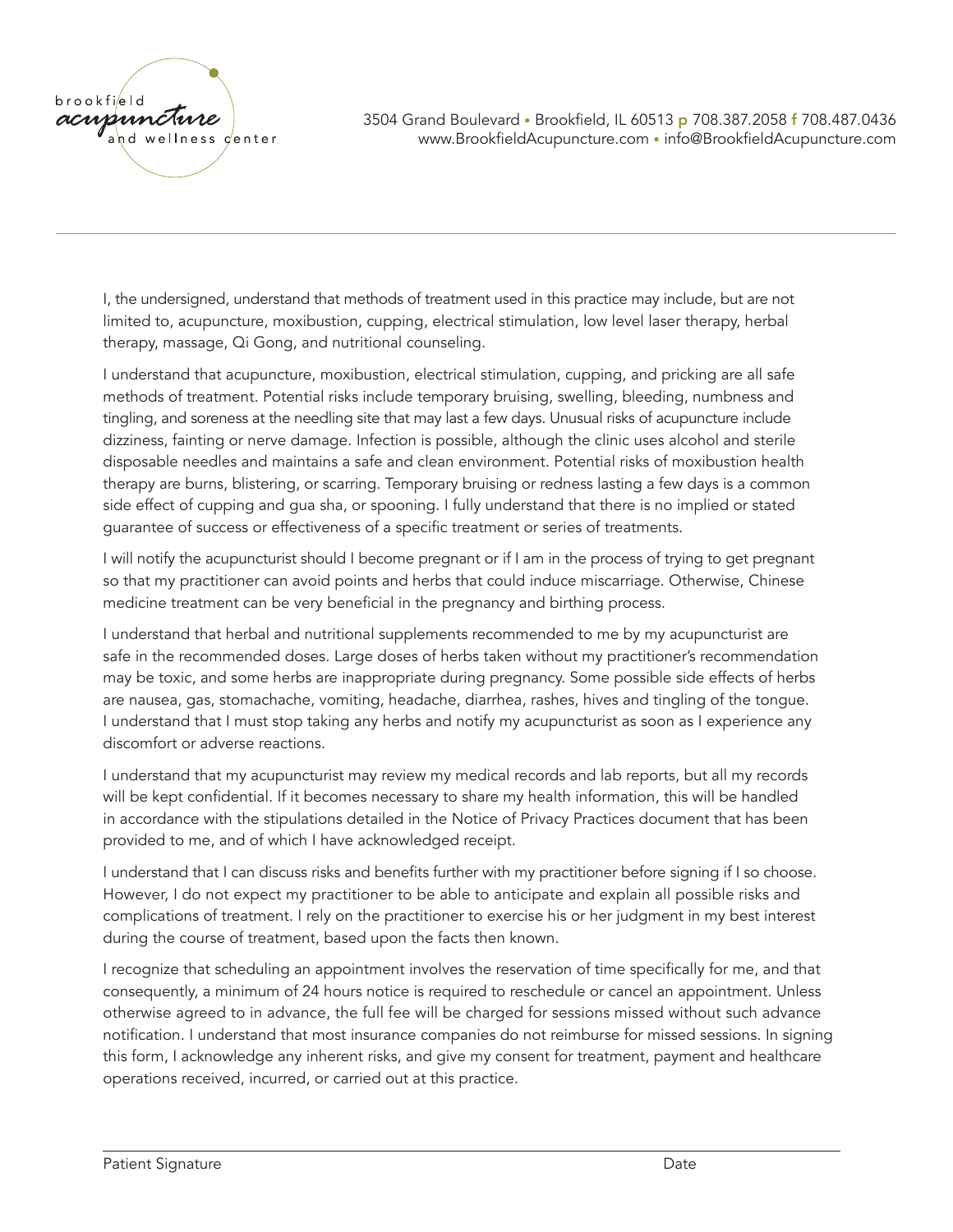

I, the undersigned, understand that methods of treatment used in this practice may include, but are not limited to, acupuncture, moxibustion, cupping, electrical stimulation, low level laser therapy, herbal therapy, massage, Qi Gong, and nutritional counseling.

I understand that acupuncture, moxibustion, electrical stimulation, cupping, and pricking are all safe methods of treatment. Potential risks include temporary bruising, swelling, bleeding, numbness and tingling, and soreness at the needling site that may last a few days. Unusual risks of acupuncture include dizziness, fainting or nerve damage. Infection is possible, although the clinic uses alcohol and sterile disposable needles and maintains a safe and clean environment. Potential risks of moxibustion health therapy are burns, blistering, or scarring. Temporary bruising or redness lasting a few days is a common side effect of cupping and gua sha, or spooning. I fully understand that there is no implied or stated guarantee of success or effectiveness of a specific treatment or series of treatments.

I will notify the acupuncturist should I become pregnant or if I am in the process of trying to get pregnant so that my practitioner can avoid points and herbs that could induce miscarriage. Otherwise, Chinese medicine treatment can be very beneficial in the pregnancy and birthing process.

I understand that herbal and nutritional supplements recommended to me by my acupuncturist are safe in the recommended doses. Large doses of herbs taken without my practitioner's recommendation may be toxic, and some herbs are inappropriate during pregnancy. Some possible side effects of herbs are nausea, gas, stomachache, vomiting, headache, diarrhea, rashes, hives and tingling of the tongue. I understand that I must stop taking any herbs and notify my acupuncturist as soon as I experience any discomfort or adverse reactions.

I understand that my acupuncturist may review my medical records and lab reports, but all my records will be kept confidential. If it becomes necessary to share my health information, this will be handled in accordance with the stipulations detailed in the Notice of Privacy Practices document that has been provided to me, and of which I have acknowledged receipt.

I understand that I can discuss risks and benefits further with my practitioner before signing if I so choose. However, I do not expect my practitioner to be able to anticipate and explain all possible risks and complications of treatment. I rely on the practitioner to exercise his or her judgment in my best interest during the course of treatment, based upon the facts then known.

I recognize that scheduling an appointment involves the reservation of time specifically for me, and that consequently, a minimum of 24 hours notice is required to reschedule or cancel an appointment. Unless otherwise agreed to in advance, the full fee will be charged for sessions missed without such advance notification. I understand that most insurance companies do not reimburse for missed sessions. In signing this form, I acknowledge any inherent risks, and give my consent for treatment, payment and healthcare operations received, incurred, or carried out at this practice.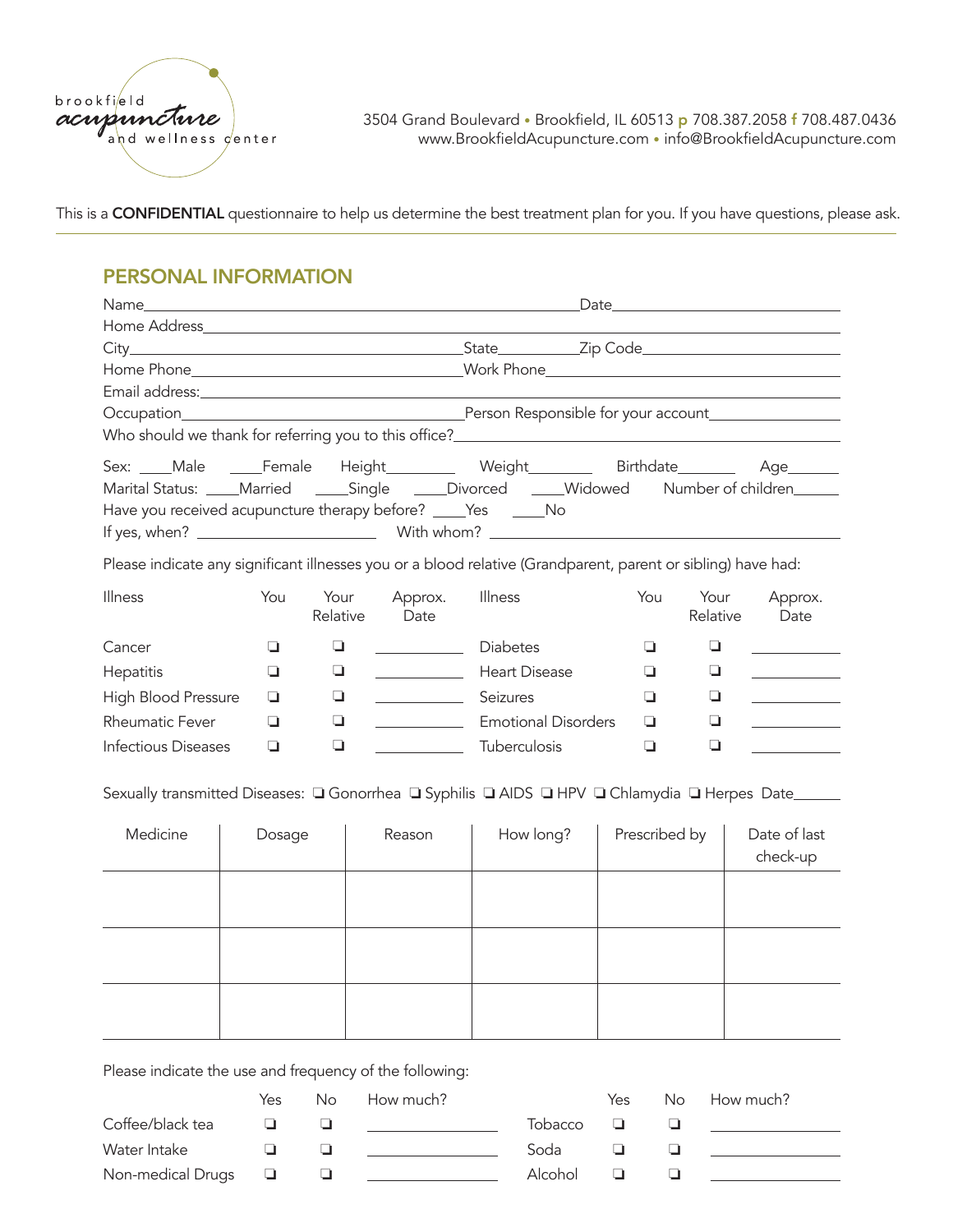

This is a **CONFIDENTIAL** questionnaire to help us determine the best treatment plan for you. If you have questions, please ask.

## PERSONAL INFORMATION

| Name                                                                                              |        | <u> 1989 - Johann Stoff, deutscher Stoff, der Stoff, der Stoff, der Stoff, der Stoff, der Stoff, der Stoff, der S</u> |                                                |                                                                                                              |               |          |                                                                                                                                                                                                                                                                                                                                                                                                                                                        |  |
|---------------------------------------------------------------------------------------------------|--------|-----------------------------------------------------------------------------------------------------------------------|------------------------------------------------|--------------------------------------------------------------------------------------------------------------|---------------|----------|--------------------------------------------------------------------------------------------------------------------------------------------------------------------------------------------------------------------------------------------------------------------------------------------------------------------------------------------------------------------------------------------------------------------------------------------------------|--|
|                                                                                                   |        |                                                                                                                       |                                                |                                                                                                              |               |          |                                                                                                                                                                                                                                                                                                                                                                                                                                                        |  |
|                                                                                                   |        |                                                                                                                       |                                                |                                                                                                              |               |          |                                                                                                                                                                                                                                                                                                                                                                                                                                                        |  |
|                                                                                                   |        |                                                                                                                       |                                                |                                                                                                              |               |          |                                                                                                                                                                                                                                                                                                                                                                                                                                                        |  |
|                                                                                                   |        |                                                                                                                       |                                                |                                                                                                              |               |          |                                                                                                                                                                                                                                                                                                                                                                                                                                                        |  |
|                                                                                                   |        |                                                                                                                       |                                                |                                                                                                              |               |          |                                                                                                                                                                                                                                                                                                                                                                                                                                                        |  |
|                                                                                                   |        |                                                                                                                       |                                                |                                                                                                              |               |          |                                                                                                                                                                                                                                                                                                                                                                                                                                                        |  |
|                                                                                                   |        |                                                                                                                       |                                                | Sex: Male Female Height Weight Neight Birthdate Age                                                          |               |          |                                                                                                                                                                                                                                                                                                                                                                                                                                                        |  |
|                                                                                                   |        |                                                                                                                       |                                                | Marital Status: ____Married _____Single _____Divorced _____Widowed Number of children______                  |               |          |                                                                                                                                                                                                                                                                                                                                                                                                                                                        |  |
| Have you received acupuncture therapy before? ____Yes _____No                                     |        |                                                                                                                       |                                                |                                                                                                              |               |          |                                                                                                                                                                                                                                                                                                                                                                                                                                                        |  |
|                                                                                                   |        |                                                                                                                       |                                                |                                                                                                              |               |          |                                                                                                                                                                                                                                                                                                                                                                                                                                                        |  |
|                                                                                                   |        |                                                                                                                       |                                                | Please indicate any significant illnesses you or a blood relative (Grandparent, parent or sibling) have had: |               |          |                                                                                                                                                                                                                                                                                                                                                                                                                                                        |  |
| Illness                                                                                           | You    | Your                                                                                                                  | Approx.                                        | Illness                                                                                                      | You           | Your     | Approx.                                                                                                                                                                                                                                                                                                                                                                                                                                                |  |
|                                                                                                   |        | Relative                                                                                                              | Date                                           |                                                                                                              |               | Relative | Date                                                                                                                                                                                                                                                                                                                                                                                                                                                   |  |
| Cancer                                                                                            | ❏      | ◘                                                                                                                     | Diabetes                                       |                                                                                                              | $\Box$        | ❏        |                                                                                                                                                                                                                                                                                                                                                                                                                                                        |  |
| Hepatitis                                                                                         | ❏      | ❏                                                                                                                     |                                                | <b>Exercise Heart Disease</b>                                                                                | u             | ш        | $\label{eq:2.1} \frac{1}{\sqrt{2}}\left(\frac{1}{\sqrt{2}}\right)^{2} \left(\frac{1}{\sqrt{2}}\right)^{2} \left(\frac{1}{\sqrt{2}}\right)^{2} \left(\frac{1}{\sqrt{2}}\right)^{2} \left(\frac{1}{\sqrt{2}}\right)^{2} \left(\frac{1}{\sqrt{2}}\right)^{2} \left(\frac{1}{\sqrt{2}}\right)^{2} \left(\frac{1}{\sqrt{2}}\right)^{2} \left(\frac{1}{\sqrt{2}}\right)^{2} \left(\frac{1}{\sqrt{2}}\right)^{2} \left(\frac{1}{\sqrt{2}}\right)^{2} \left(\$ |  |
| High Blood Pressure                                                                               | ❏      | u                                                                                                                     | <u> 1990 - Jan Barnett, politik e</u> ta eta p | Seizures                                                                                                     | ❏             | ◘        |                                                                                                                                                                                                                                                                                                                                                                                                                                                        |  |
| <b>Rheumatic Fever</b>                                                                            | ❏      | ❏                                                                                                                     |                                                | <b>Emotional Disorders</b>                                                                                   | ❏             | ❏        | <b>Contract Contract Contract</b>                                                                                                                                                                                                                                                                                                                                                                                                                      |  |
| <b>Infectious Diseases</b>                                                                        | ❏      | $\Box$                                                                                                                |                                                | <b>Tuberculosis</b>                                                                                          | ❏             | $\Box$   |                                                                                                                                                                                                                                                                                                                                                                                                                                                        |  |
| Sexually transmitted Diseases: □ Gonorrhea □ Syphilis □ AIDS □ HPV □ Chlamydia □ Herpes Date_____ |        |                                                                                                                       |                                                |                                                                                                              |               |          |                                                                                                                                                                                                                                                                                                                                                                                                                                                        |  |
|                                                                                                   |        |                                                                                                                       |                                                |                                                                                                              |               |          |                                                                                                                                                                                                                                                                                                                                                                                                                                                        |  |
| Medicine                                                                                          | Dosage |                                                                                                                       | Reason                                         | How long?                                                                                                    | Prescribed by |          | Date of last<br>check-up                                                                                                                                                                                                                                                                                                                                                                                                                               |  |
|                                                                                                   |        |                                                                                                                       |                                                |                                                                                                              |               |          |                                                                                                                                                                                                                                                                                                                                                                                                                                                        |  |
|                                                                                                   |        |                                                                                                                       |                                                |                                                                                                              |               |          |                                                                                                                                                                                                                                                                                                                                                                                                                                                        |  |
|                                                                                                   |        |                                                                                                                       |                                                |                                                                                                              |               |          |                                                                                                                                                                                                                                                                                                                                                                                                                                                        |  |
|                                                                                                   |        |                                                                                                                       |                                                |                                                                                                              |               |          |                                                                                                                                                                                                                                                                                                                                                                                                                                                        |  |
|                                                                                                   |        |                                                                                                                       |                                                |                                                                                                              |               |          |                                                                                                                                                                                                                                                                                                                                                                                                                                                        |  |
|                                                                                                   |        |                                                                                                                       |                                                |                                                                                                              |               |          |                                                                                                                                                                                                                                                                                                                                                                                                                                                        |  |
|                                                                                                   |        |                                                                                                                       |                                                |                                                                                                              |               |          |                                                                                                                                                                                                                                                                                                                                                                                                                                                        |  |

Please indicate the use and frequency of the following:

|                   | Yes  | No. | How much? |         | Yes | No. | How much? |
|-------------------|------|-----|-----------|---------|-----|-----|-----------|
| Coffee/black tea  |      |     |           | Tobacco |     |     |           |
| Water Intake      |      |     |           | Soda    |     |     |           |
| Non-medical Drugs | . Li |     |           | Alcohol |     |     |           |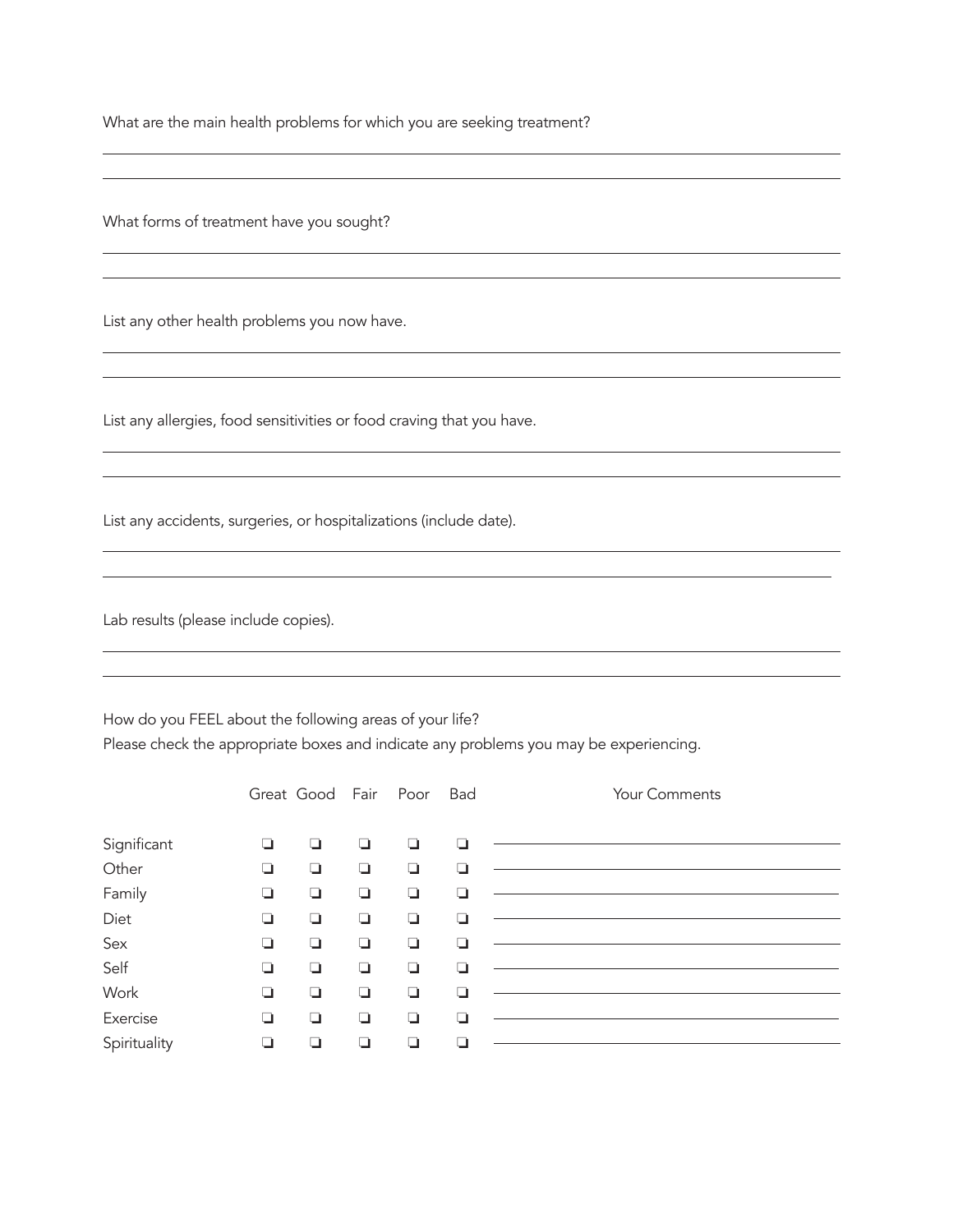What are the main health problems for which you are seeking treatment?

<u> 1989 - Johann Stoff, deutscher Stoff, der Stoff, der Stoff, der Stoff, der Stoff, der Stoff, der Stoff, der S</u>

What forms of treatment have you sought?

 $\overline{a}$  $\overline{a}$ 

 $\overline{a}$  $\overline{a}$ 

 $\overline{a}$  $\overline{a}$ 

 $\overline{a}$  $\overline{a}$ 

 $\overline{a}$  $\overline{a}$ 

 $\overline{a}$  $\overline{a}$ 

List any other health problems you now have.

List any allergies, food sensitivities or food craving that you have.

List any accidents, surgeries, or hospitalizations (include date).

Lab results (please include copies).

How do you FEEL about the following areas of your life?

Please check the appropriate boxes and indicate any problems you may be experiencing.

|              |   | Great Good Fair Poor |        |        | Bad | Your Comments |
|--------------|---|----------------------|--------|--------|-----|---------------|
| Significant  | ❏ | $\Box$               | $\Box$ | Q      | ❏   |               |
| Other        | ❏ | ❏                    | ❏      | $\Box$ | ┙   |               |
| Family       | ❏ | ❏                    | ❏      | $\Box$ | ⊐   |               |
| Diet         | ❏ | $\Box$               | ❏      | ◘      | ❏   |               |
| Sex          | ❏ | ❏                    | Q      | ❏      | - 1 |               |
| Self         | ❏ | ◘                    | ❏      | ❏      | ⊐   |               |
| Work         | ❏ | ❏                    | ❏      | ◘      | ❏   |               |
| Exercise     | ❏ | ◘                    | ❏      | ❏      | ⊐   |               |
| Spirituality | ❏ | ∩                    | ∩      | ❏      |     |               |

<u> 1980 - Johann Stoff, amerikansk politiker (d. 1980)</u>